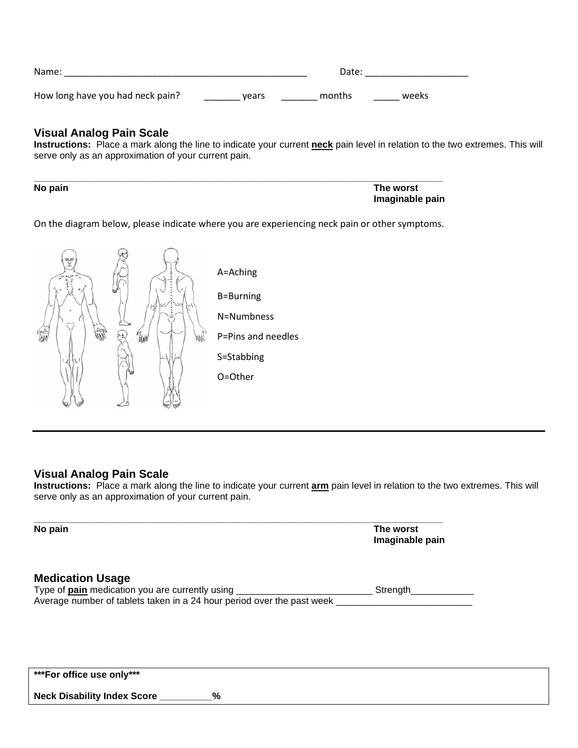| Name:                            | Date: |        |       |
|----------------------------------|-------|--------|-------|
| How long have you had neck pain? | vears | months | weeks |

## **Visual Analog Pain Scale**

**Instructions:** Place a mark along the line to indicate your current **neck** pain level in relation to the two extremes. This will serve only as an approximation of your current pain.

| No pain | The worst       |
|---------|-----------------|
|         | Imaginable pain |

On the diagram below, please indicate where you are experiencing neck pain or other symptoms.



## **Visual Analog Pain Scale**

**Instructions:** Place a mark along the line to indicate your current **arm** pain level in relation to the two extremes. This will serve only as an approximation of your current pain.

| No pain | The worst       |
|---------|-----------------|
|         | Imaginable pain |
|         |                 |
|         |                 |

## **Medication Usage** Type of **pain** medication you are currently using \_\_\_\_\_\_\_\_\_\_\_\_\_\_\_\_\_\_\_\_\_\_\_\_\_\_ Strength\_\_\_\_\_\_\_\_\_\_\_\_ Average number of tablets taken in a 24 hour period over the past week \_\_\_\_\_\_\_\_\_

**\*\*\*For office use only\*\*\***

**Neck Disability Index Score \_\_\_\_\_\_\_\_\_\_%**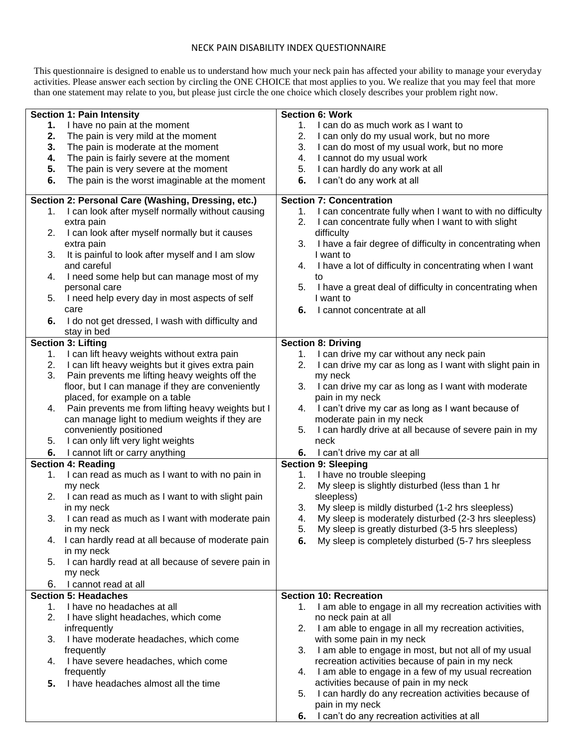## NECK PAIN DISABILITY INDEX QUESTIONNAIRE

This questionnaire is designed to enable us to understand how much your neck pain has affected your ability to manage your everyday activities. Please answer each section by circling the ONE CHOICE that most applies to you. We realize that you may feel that more than one statement may relate to you, but please just circle the one choice which closely describes your problem right now.

|    | <b>Section 1: Pain Intensity</b>                     | <b>Section 6: Work</b>                                          |
|----|------------------------------------------------------|-----------------------------------------------------------------|
| 1. | I have no pain at the moment                         | I can do as much work as I want to<br>1.                        |
| 2. | The pain is very mild at the moment                  | 2.                                                              |
|    |                                                      | I can only do my usual work, but no more                        |
| 3. | The pain is moderate at the moment                   | I can do most of my usual work, but no more<br>3.               |
| 4. | The pain is fairly severe at the moment              | I cannot do my usual work<br>4.                                 |
| 5. | The pain is very severe at the moment                | I can hardly do any work at all<br>5.                           |
| 6. | The pain is the worst imaginable at the moment       | I can't do any work at all<br>6.                                |
|    | Section 2: Personal Care (Washing, Dressing, etc.)   | <b>Section 7: Concentration</b>                                 |
|    | 1. I can look after myself normally without causing  | I can concentrate fully when I want to with no difficulty<br>1. |
|    | extra pain                                           | 2.<br>I can concentrate fully when I want to with slight        |
| 2. | I can look after myself normally but it causes       | difficulty                                                      |
|    | extra pain                                           | I have a fair degree of difficulty in concentrating when<br>3.  |
| 3. | It is painful to look after myself and I am slow     | I want to                                                       |
|    | and careful                                          | I have a lot of difficulty in concentrating when I want<br>4.   |
| 4. | I need some help but can manage most of my           | to                                                              |
|    | personal care                                        | I have a great deal of difficulty in concentrating when<br>5.   |
| 5. | I need help every day in most aspects of self        | I want to                                                       |
|    | care                                                 | 6.<br>I cannot concentrate at all                               |
| 6. | I do not get dressed, I wash with difficulty and     |                                                                 |
|    | stay in bed                                          |                                                                 |
|    | Section 3: Lifting                                   | <b>Section 8: Driving</b>                                       |
| 1. | I can lift heavy weights without extra pain          | I can drive my car without any neck pain<br>1.                  |
| 2. | I can lift heavy weights but it gives extra pain     | 2.<br>I can drive my car as long as I want with slight pain in  |
| 3. | Pain prevents me lifting heavy weights off the       | my neck                                                         |
|    | floor, but I can manage if they are conveniently     | 3.<br>I can drive my car as long as I want with moderate        |
|    | placed, for example on a table                       | pain in my neck                                                 |
| 4. | Pain prevents me from lifting heavy weights but I    | I can't drive my car as long as I want because of<br>4.         |
|    | can manage light to medium weights if they are       | moderate pain in my neck                                        |
|    | conveniently positioned                              | I can hardly drive at all because of severe pain in my<br>5.    |
| 5. | I can only lift very light weights                   | neck                                                            |
|    |                                                      |                                                                 |
| 6. | I cannot lift or carry anything                      | 6. I can't drive my car at all                                  |
|    | <b>Section 4: Reading</b>                            | <b>Section 9: Sleeping</b>                                      |
| 1. | I can read as much as I want to with no pain in      | I have no trouble sleeping<br>1.                                |
|    | my neck                                              | My sleep is slightly disturbed (less than 1 hr<br>2.            |
|    | 2. I can read as much as I want to with slight pain  | sleepless)                                                      |
|    | in my neck                                           | My sleep is mildly disturbed (1-2 hrs sleepless)<br>3.          |
| 3. | I can read as much as I want with moderate pain      | My sleep is moderately disturbed (2-3 hrs sleepless)<br>4.      |
|    | in my neck                                           | 5. My sleep is greatly disturbed (3-5 hrs sleepless)            |
|    | 4. I can hardly read at all because of moderate pain | My sleep is completely disturbed (5-7 hrs sleepless<br>6.       |
|    | in my neck                                           |                                                                 |
| 5. | I can hardly read at all because of severe pain in   |                                                                 |
|    | my neck                                              |                                                                 |
| 6. | I cannot read at all                                 |                                                                 |
|    | <b>Section 5: Headaches</b>                          | <b>Section 10: Recreation</b>                                   |
| 1. | I have no headaches at all                           | I am able to engage in all my recreation activities with<br>1.  |
| 2. | I have slight headaches, which come                  | no neck pain at all                                             |
|    | infrequently                                         | I am able to engage in all my recreation activities,<br>2.      |
| 3. | I have moderate headaches, which come                | with some pain in my neck                                       |
|    | frequently                                           | I am able to engage in most, but not all of my usual<br>3.      |
| 4. | I have severe headaches, which come                  | recreation activities because of pain in my neck                |
|    | frequently                                           | I am able to engage in a few of my usual recreation<br>4.       |
| 5. | I have headaches almost all the time                 | activities because of pain in my neck                           |
|    |                                                      | I can hardly do any recreation activities because of<br>5.      |
|    |                                                      | pain in my neck                                                 |
|    |                                                      | I can't do any recreation activities at all<br>6.               |